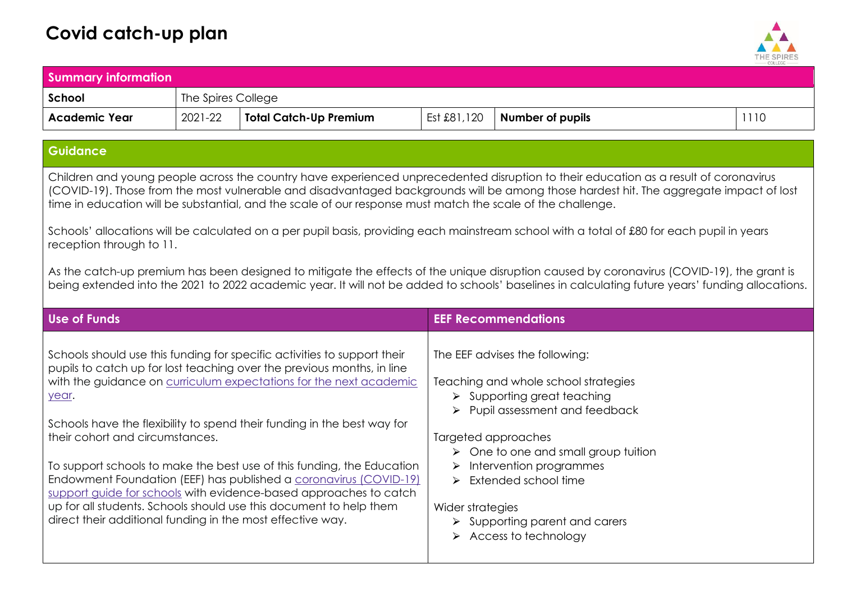## **Covid catch-up plan**



| <b>Summary information</b> |                    |                               |             |                         |      |
|----------------------------|--------------------|-------------------------------|-------------|-------------------------|------|
| School                     | The Spires College |                               |             |                         |      |
| <b>Academic Year</b>       | 2021-22            | <b>Total Catch-Up Premium</b> | Est £81,120 | <b>Number of pupils</b> | '110 |
| <b>Guidance</b>            |                    |                               |             |                         |      |

Children and young people across the country have experienced unprecedented disruption to their education as a result of coronavirus (COVID-19). Those from the most vulnerable and disadvantaged backgrounds will be among those hardest hit. The aggregate impact of lost time in education will be substantial, and the scale of our response must match the scale of the challenge.

Schools' allocations will be calculated on a per pupil basis, providing each mainstream school with a total of £80 for each pupil in years reception through to 11.

As the catch-up premium has been designed to mitigate the effects of the unique disruption caused by coronavirus (COVID-19), the grant is being extended into the 2021 to 2022 academic year. It will not be added to schools' baselines in calculating future years' funding allocations.

| <b>Use of Funds</b>                                                                                                                                                                                                                                                                                                                                                                                                                                                                                                                                                                                                                                                                                     | <b>EEF Recommendations</b>                                                                                                                                                                                                                                                                                                                                                                                                                     |
|---------------------------------------------------------------------------------------------------------------------------------------------------------------------------------------------------------------------------------------------------------------------------------------------------------------------------------------------------------------------------------------------------------------------------------------------------------------------------------------------------------------------------------------------------------------------------------------------------------------------------------------------------------------------------------------------------------|------------------------------------------------------------------------------------------------------------------------------------------------------------------------------------------------------------------------------------------------------------------------------------------------------------------------------------------------------------------------------------------------------------------------------------------------|
| Schools should use this funding for specific activities to support their<br>pupils to catch up for lost teaching over the previous months, in line<br>with the guidance on curriculum expectations for the next academic<br>year.<br>Schools have the flexibility to spend their funding in the best way for<br>their cohort and circumstances.<br>To support schools to make the best use of this funding, the Education<br>Endowment Foundation (EEF) has published a coronavirus (COVID-19)<br>support guide for schools with evidence-based approaches to catch<br>up for all students. Schools should use this document to help them<br>direct their additional funding in the most effective way. | The EEF advises the following:<br>Teaching and whole school strategies<br>$\triangleright$ Supporting great teaching<br>$\triangleright$ Pupil assessment and feedback<br>Targeted approaches<br>$\triangleright$ One to one and small group tuition<br>$\triangleright$ Intervention programmes<br>Extended school time<br>$\blacktriangleright$<br>Wider strategies<br>$\triangleright$ Supporting parent and carers<br>Access to technology |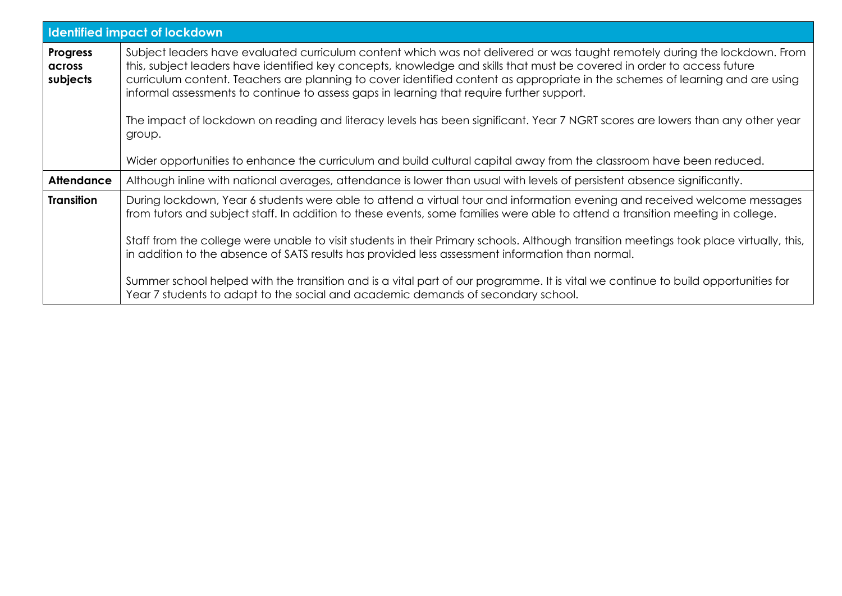| <b>Identified impact of lockdown</b>  |                                                                                                                                                                                                                                                                                                                                                                                                                                                                                     |  |  |  |  |
|---------------------------------------|-------------------------------------------------------------------------------------------------------------------------------------------------------------------------------------------------------------------------------------------------------------------------------------------------------------------------------------------------------------------------------------------------------------------------------------------------------------------------------------|--|--|--|--|
| <b>Progress</b><br>across<br>subjects | Subject leaders have evaluated curriculum content which was not delivered or was taught remotely during the lockdown. From<br>this, subject leaders have identified key concepts, knowledge and skills that must be covered in order to access future<br>curriculum content. Teachers are planning to cover identified content as appropriate in the schemes of learning and are using<br>informal assessments to continue to assess gaps in learning that require further support. |  |  |  |  |
|                                       | The impact of lockdown on reading and literacy levels has been significant. Year 7 NGRT scores are lowers than any other year<br>group.                                                                                                                                                                                                                                                                                                                                             |  |  |  |  |
|                                       | Wider opportunities to enhance the curriculum and build cultural capital away from the classroom have been reduced.                                                                                                                                                                                                                                                                                                                                                                 |  |  |  |  |
| <b>Attendance</b>                     | Although inline with national averages, attendance is lower than usual with levels of persistent absence significantly.                                                                                                                                                                                                                                                                                                                                                             |  |  |  |  |
| <b>Transition</b>                     | During lockdown, Year 6 students were able to attend a virtual tour and information evening and received welcome messages<br>from tutors and subject staff. In addition to these events, some families were able to attend a transition meeting in college.<br>Staff from the college were unable to visit students in their Primary schools. Although transition meetings took place virtually, this,                                                                              |  |  |  |  |
|                                       | in addition to the absence of SATS results has provided less assessment information than normal.                                                                                                                                                                                                                                                                                                                                                                                    |  |  |  |  |
|                                       | Summer school helped with the transition and is a vital part of our programme. It is vital we continue to build opportunities for<br>Year 7 students to adapt to the social and academic demands of secondary school.                                                                                                                                                                                                                                                               |  |  |  |  |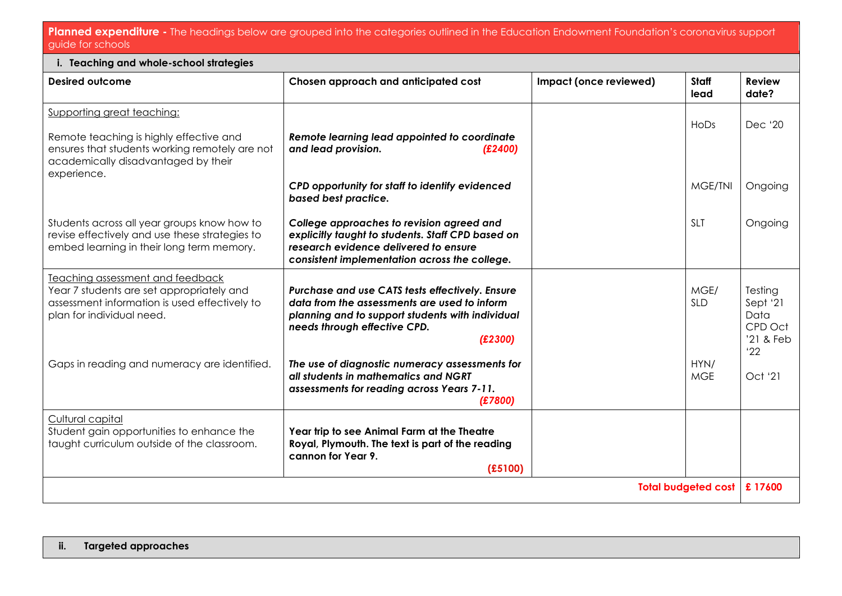## **Planned expenditure -** The headings below are grouped into the categories outlined in the Education Endowment Foundation's coronavirus support guide for schools

| i. Teaching and whole-school strategies                                                                                                                     |                                                                                                                                                                                                |                        |                    |                                                            |  |  |
|-------------------------------------------------------------------------------------------------------------------------------------------------------------|------------------------------------------------------------------------------------------------------------------------------------------------------------------------------------------------|------------------------|--------------------|------------------------------------------------------------|--|--|
| Desired outcome                                                                                                                                             | Chosen approach and anticipated cost                                                                                                                                                           | Impact (once reviewed) | Staff<br>lead      | <b>Review</b><br>date?                                     |  |  |
| <b>Supporting great teaching:</b>                                                                                                                           |                                                                                                                                                                                                |                        | HoDs               | Dec '20                                                    |  |  |
| Remote teaching is highly effective and<br>ensures that students working remotely are not<br>academically disadvantaged by their<br>experience.             | Remote learning lead appointed to coordinate<br>and lead provision.<br>(E2400)                                                                                                                 |                        |                    |                                                            |  |  |
|                                                                                                                                                             | CPD opportunity for staff to identify evidenced<br>based best practice.                                                                                                                        |                        | MGE/TNI            | Ongoing                                                    |  |  |
| Students across all year groups know how to<br>revise effectively and use these strategies to<br>embed learning in their long term memory.                  | College approaches to revision agreed and<br>explicitly taught to students. Staff CPD based on<br>research evidence delivered to ensure<br>consistent implementation across the college.       |                        | <b>SLT</b>         | Ongoing                                                    |  |  |
| Teaching assessment and feedback<br>Year 7 students are set appropriately and<br>assessment information is used effectively to<br>plan for individual need. | Purchase and use CATS tests effectively. Ensure<br>data from the assessments are used to inform<br>planning and to support students with individual<br>needs through effective CPD.<br>(E2300) |                        | MGE/<br>SLD        | Testing<br>Sept '21<br>Data<br>CPD Oct<br>'21 & Feb<br>'22 |  |  |
| Gaps in reading and numeracy are identified.                                                                                                                | The use of diagnostic numeracy assessments for<br>all students in mathematics and NGRT<br>assessments for reading across Years 7-11.<br>(E7800)                                                |                        | HYN/<br><b>MGE</b> | Oct '21                                                    |  |  |
| Cultural capital<br>Student gain opportunities to enhance the<br>taught curriculum outside of the classroom.                                                | Year trip to see Animal Farm at the Theatre<br>Royal, Plymouth. The text is part of the reading<br>cannon for Year 9.<br>(E5100)                                                               |                        |                    |                                                            |  |  |
| <b>Total budgeted cost</b>                                                                                                                                  |                                                                                                                                                                                                |                        |                    | £17600                                                     |  |  |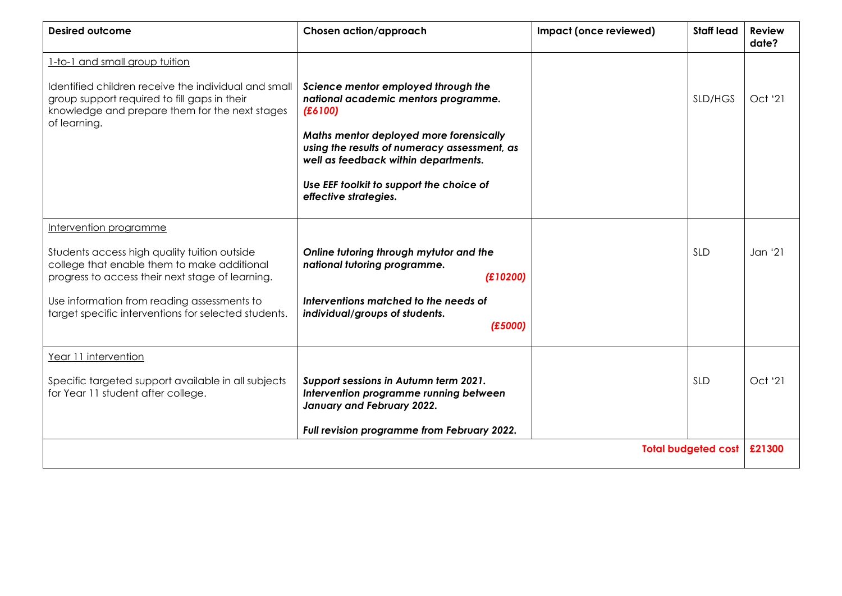| <b>Desired outcome</b>                                                                                                                                                                                                                                                           | Chosen action/approach                                                                                                                                                                                                                                                                         | Impact (once reviewed) | <b>Staff lead</b> | <b>Review</b><br>date? |
|----------------------------------------------------------------------------------------------------------------------------------------------------------------------------------------------------------------------------------------------------------------------------------|------------------------------------------------------------------------------------------------------------------------------------------------------------------------------------------------------------------------------------------------------------------------------------------------|------------------------|-------------------|------------------------|
| 1-to-1 and small group tuition<br>Identified children receive the individual and small<br>group support required to fill gaps in their<br>knowledge and prepare them for the next stages<br>of learning.                                                                         | Science mentor employed through the<br>national academic mentors programme.<br>(E6100)<br>Maths mentor deployed more forensically<br>using the results of numeracy assessment, as<br>well as feedback within departments.<br>Use EEF toolkit to support the choice of<br>effective strategies. |                        | SLD/HGS           | Oct '21                |
| Intervention programme<br>Students access high quality tuition outside<br>college that enable them to make additional<br>progress to access their next stage of learning.<br>Use information from reading assessments to<br>target specific interventions for selected students. | Online tutoring through mytutor and the<br>national tutoring programme.<br>(E10200)<br>Interventions matched to the needs of<br>individual/groups of students.<br>(E5000)                                                                                                                      |                        | <b>SLD</b>        | Jan '21                |
| Year 11 intervention<br>Specific targeted support available in all subjects<br>for Year 11 student after college.                                                                                                                                                                | Support sessions in Autumn term 2021.<br>Intervention programme running between<br>January and February 2022.<br>Full revision programme from February 2022.                                                                                                                                   |                        | <b>SLD</b>        | Oct '21<br>£21300      |
| <b>Total budgeted cost</b>                                                                                                                                                                                                                                                       |                                                                                                                                                                                                                                                                                                |                        |                   |                        |